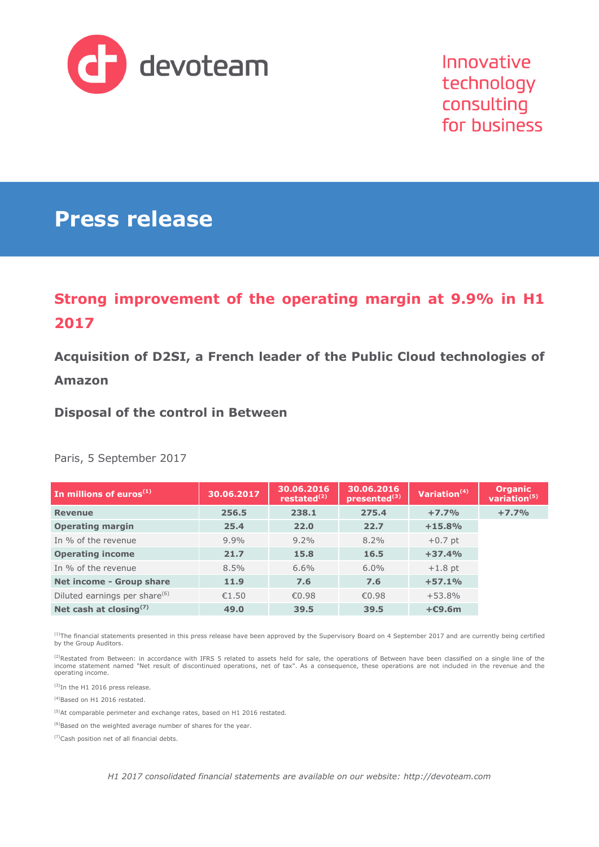

Innovative technology consulting for business

# **Press release**

# **Strong improvement of the operating margin at 9.9% in H1 2017**

**Acquisition of D2SI, a French leader of the Public Cloud technologies of** 

#### **Amazon**

**Disposal of the control in Between**

Paris, 5 September 2017

| In millions of euros $(1)$                | 30.06.2017 | 30.06.2016<br>restated $(2)$ | 30.06.2016<br>presented <sup>(3)</sup> | Variation $(4)$ | <b>Organic</b><br>variation $(5)$ |
|-------------------------------------------|------------|------------------------------|----------------------------------------|-----------------|-----------------------------------|
| <b>Revenue</b>                            | 256.5      | 238.1                        | 275.4                                  | $+7.7%$         | $+7.7%$                           |
| <b>Operating margin</b>                   | 25.4       | 22.0                         | 22.7                                   | $+15.8%$        |                                   |
| In % of the revenue                       | $9.9\%$    | $9.2\%$                      | 8.2%                                   | $+0.7$ pt       |                                   |
| <b>Operating income</b>                   | 21.7       | 15.8                         | 16.5                                   | $+37.4%$        |                                   |
| In % of the revenue                       | 8.5%       | 6.6%                         | $6.0\%$                                | $+1.8$ pt       |                                   |
| <b>Net income - Group share</b>           | 11.9       | 7.6                          | 7.6                                    | $+57.1%$        |                                   |
| Diluted earnings per share <sup>(6)</sup> | €1.50      | €0.98                        | €0.98                                  | $+53.8%$        |                                   |
| Net cash at closing $(7)$                 | 49.0       | 39.5                         | 39.5                                   | $+C9.6m$        |                                   |

(1)The financial statements presented in this press release have been approved by the Supervisory Board on 4 September 2017 and are currently being certified by the Group Auditors.

<sup>(2)</sup>Restated from Between: in accordance with IFRS 5 related to assets held for sale, the operations of Between have been classified on a single line of the<br>income statement named "Net result of discontinued operations, n

(3)In the H1 2016 press release.

(4)Based on H1 2016 restated.

(5)At comparable perimeter and exchange rates, based on H1 2016 restated.

(6)Based on the weighted average number of shares for the year.

(7)Cash position net of all financial debts.

*H1 2017 consolidated financial statements are available on our website: [http://devoteam.com](http://devoteam.com/)*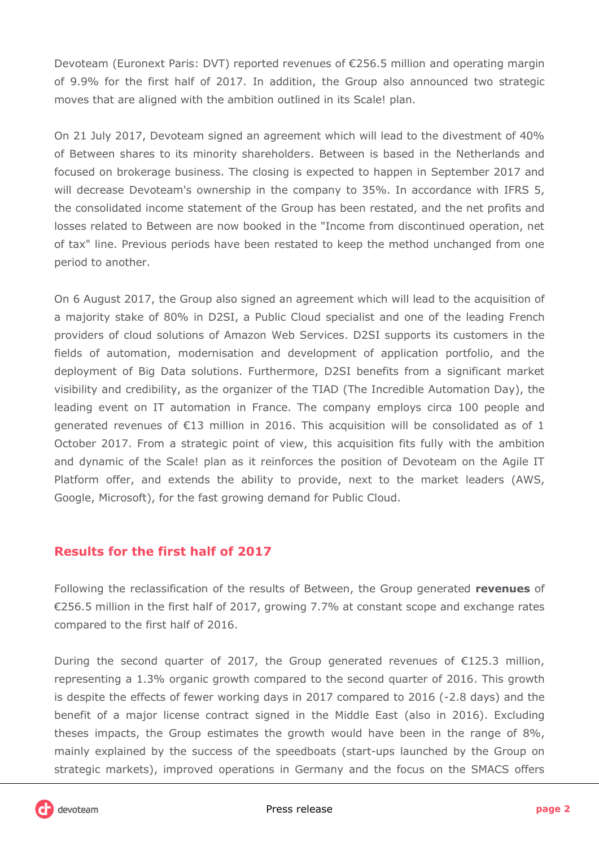Devoteam (Euronext Paris: DVT) reported revenues of €256.5 million and operating margin of 9.9% for the first half of 2017. In addition, the Group also announced two strategic moves that are aligned with the ambition outlined in its Scale! plan.

On 21 July 2017, Devoteam signed an agreement which will lead to the divestment of 40% of Between shares to its minority shareholders. Between is based in the Netherlands and focused on brokerage business. The closing is expected to happen in September 2017 and will decrease Devoteam's ownership in the company to 35%. In accordance with IFRS 5, the consolidated income statement of the Group has been restated, and the net profits and losses related to Between are now booked in the "Income from discontinued operation, net of tax" line. Previous periods have been restated to keep the method unchanged from one period to another.

On 6 August 2017, the Group also signed an agreement which will lead to the acquisition of a majority stake of 80% in D2SI, a Public Cloud specialist and one of the leading French providers of cloud solutions of Amazon Web Services. D2SI supports its customers in the fields of automation, modernisation and development of application portfolio, and the deployment of Big Data solutions. Furthermore, D2SI benefits from a significant market visibility and credibility, as the organizer of the TIAD (The Incredible Automation Day), the leading event on IT automation in France. The company employs circa 100 people and generated revenues of €13 million in 2016. This acquisition will be consolidated as of 1 October 2017. From a strategic point of view, this acquisition fits fully with the ambition and dynamic of the Scale! plan as it reinforces the position of Devoteam on the Agile IT Platform offer, and extends the ability to provide, next to the market leaders (AWS, Google, Microsoft), for the fast growing demand for Public Cloud.

## **Results for the first half of 2017**

Following the reclassification of the results of Between, the Group generated **revenues** of €256.5 million in the first half of 2017, growing 7.7% at constant scope and exchange rates compared to the first half of 2016.

During the second quarter of 2017, the Group generated revenues of €125.3 million, representing a 1.3% organic growth compared to the second quarter of 2016. This growth is despite the effects of fewer working days in 2017 compared to 2016 (-2.8 days) and the benefit of a major license contract signed in the Middle East (also in 2016). Excluding theses impacts, the Group estimates the growth would have been in the range of 8%, mainly explained by the success of the speedboats (start-ups launched by the Group on strategic markets), improved operations in Germany and the focus on the SMACS offers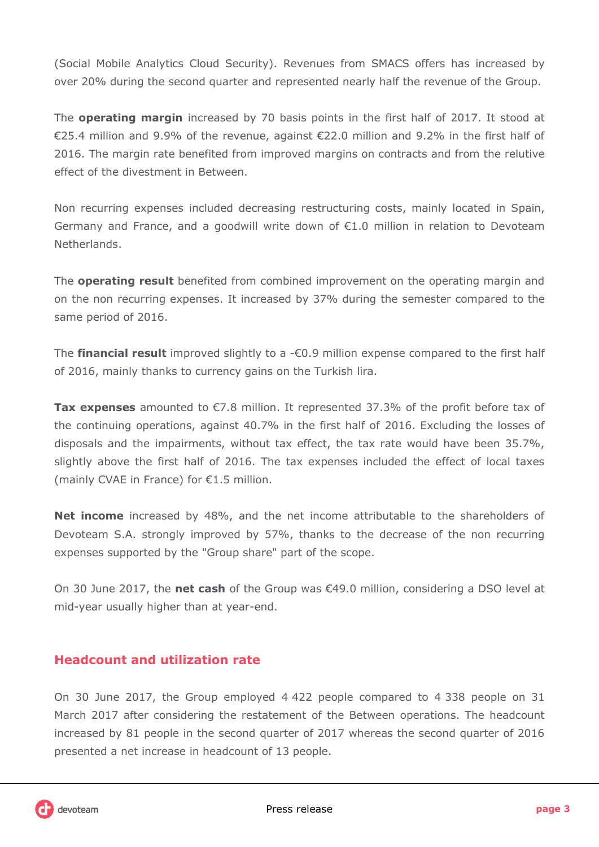(Social Mobile Analytics Cloud Security). Revenues from SMACS offers has increased by over 20% during the second quarter and represented nearly half the revenue of the Group.

The **operating margin** increased by 70 basis points in the first half of 2017. It stood at €25.4 million and 9.9% of the revenue, against €22.0 million and 9.2% in the first half of 2016. The margin rate benefited from improved margins on contracts and from the relutive effect of the divestment in Between.

Non recurring expenses included decreasing restructuring costs, mainly located in Spain, Germany and France, and a goodwill write down of  $E1.0$  million in relation to Devoteam **Netherlands** 

The **operating result** benefited from combined improvement on the operating margin and on the non recurring expenses. It increased by 37% during the semester compared to the same period of 2016.

The **financial result** improved slightly to a -€0.9 million expense compared to the first half of 2016, mainly thanks to currency gains on the Turkish lira.

**Tax expenses** amounted to €7.8 million. It represented 37.3% of the profit before tax of the continuing operations, against 40.7% in the first half of 2016. Excluding the losses of disposals and the impairments, without tax effect, the tax rate would have been 35.7%, slightly above the first half of 2016. The tax expenses included the effect of local taxes (mainly CVAE in France) for €1.5 million.

**Net income** increased by 48%, and the net income attributable to the shareholders of Devoteam S.A. strongly improved by 57%, thanks to the decrease of the non recurring expenses supported by the "Group share" part of the scope.

On 30 June 2017, the **net cash** of the Group was €49.0 million, considering a DSO level at mid-year usually higher than at year-end.

## **Headcount and utilization rate**

On 30 June 2017, the Group employed 4 422 people compared to 4 338 people on 31 March 2017 after considering the restatement of the Between operations. The headcount increased by 81 people in the second quarter of 2017 whereas the second quarter of 2016 presented a net increase in headcount of 13 people.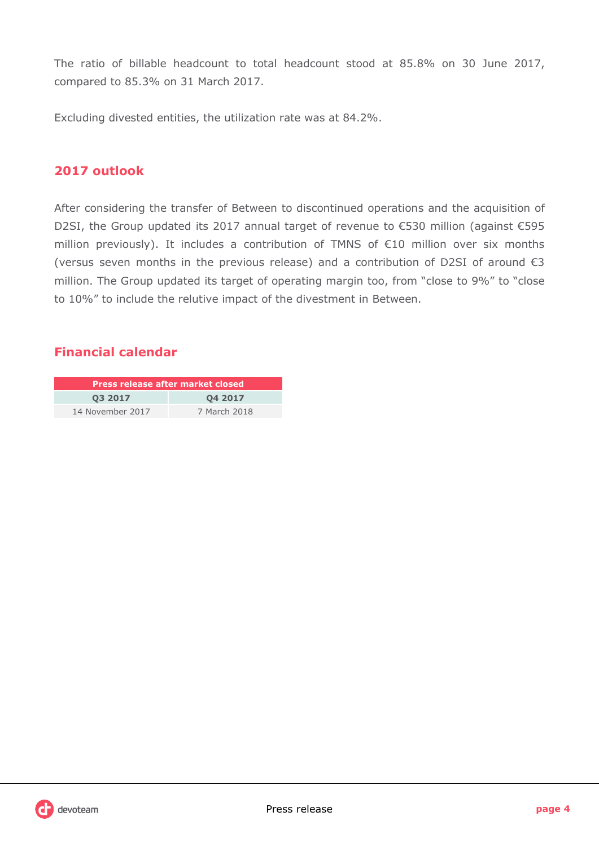The ratio of billable headcount to total headcount stood at 85.8% on 30 June 2017, compared to 85.3% on 31 March 2017.

Excluding divested entities, the utilization rate was at 84.2%.

### **2017 outlook**

After considering the transfer of Between to discontinued operations and the acquisition of D2SI, the Group updated its 2017 annual target of revenue to €530 million (against €595 million previously). It includes a contribution of TMNS of €10 million over six months (versus seven months in the previous release) and a contribution of D2SI of around  $\epsilon$ 3 million. The Group updated its target of operating margin too, from "close to 9%" to "close to 10%" to include the relutive impact of the divestment in Between.

## **Financial calendar**

| <b>Press release after market closed</b> |              |  |  |  |
|------------------------------------------|--------------|--|--|--|
| 03 2017<br>04 2017                       |              |  |  |  |
| 14 November 2017                         | 7 March 2018 |  |  |  |

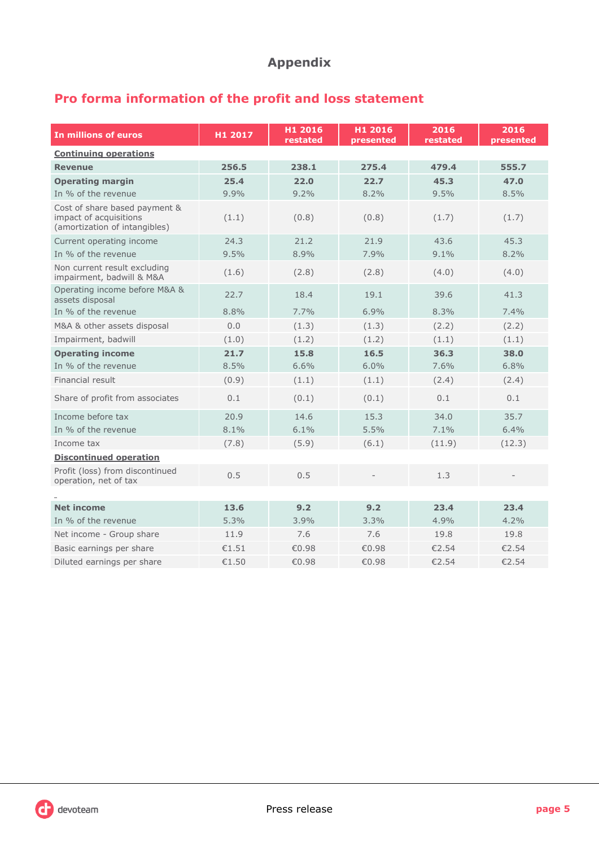## **Appendix**

# **Pro forma information of the profit and loss statement**

| In millions of euros                                                                     | H1 2017 | H1 2016<br>restated | H1 2016<br>presented | 2016<br>restated | 2016<br>presented |
|------------------------------------------------------------------------------------------|---------|---------------------|----------------------|------------------|-------------------|
| <b>Continuing operations</b>                                                             |         |                     |                      |                  |                   |
| <b>Revenue</b>                                                                           | 256.5   | 238.1               | 275.4                | 479.4            | 555.7             |
| <b>Operating margin</b>                                                                  | 25.4    | 22.0                | 22.7                 | 45.3             | 47.0              |
| In % of the revenue                                                                      | 9.9%    | 9.2%                | 8.2%                 | 9.5%             | 8.5%              |
| Cost of share based payment &<br>impact of acquisitions<br>(amortization of intangibles) | (1.1)   | (0.8)               | (0.8)                | (1.7)            | (1.7)             |
| Current operating income                                                                 | 24.3    | 21.2                | 21.9                 | 43.6             | 45.3              |
| In % of the revenue                                                                      | 9.5%    | 8.9%                | 7.9%                 | 9.1%             | 8.2%              |
| Non current result excluding<br>impairment, badwill & M&A                                | (1.6)   | (2.8)               | (2.8)                | (4.0)            | (4.0)             |
| Operating income before M&A &<br>assets disposal                                         | 22.7    | 18.4                | 19.1                 | 39.6             | 41.3              |
| In % of the revenue                                                                      | 8.8%    | 7.7%                | 6.9%                 | 8.3%             | 7.4%              |
| M&A & other assets disposal                                                              | 0.0     | (1.3)               | (1.3)                | (2.2)            | (2.2)             |
| Impairment, badwill                                                                      | (1.0)   | (1.2)               | (1.2)                | (1.1)            | (1.1)             |
| <b>Operating income</b>                                                                  | 21.7    | 15.8                | 16.5                 | 36.3             | 38.0              |
| In % of the revenue                                                                      | 8.5%    | 6.6%                | 6.0%                 | 7.6%             | 6.8%              |
| Financial result                                                                         | (0.9)   | (1.1)               | (1.1)                | (2.4)            | (2.4)             |
| Share of profit from associates                                                          | 0.1     | (0.1)               | (0.1)                | 0.1              | 0.1               |
| Income before tax                                                                        | 20.9    | 14.6                | 15.3                 | 34.0             | 35.7              |
| In % of the revenue                                                                      | 8.1%    | 6.1%                | 5.5%                 | 7.1%             | 6.4%              |
| Income tax                                                                               | (7.8)   | (5.9)               | (6.1)                | (11.9)           | (12.3)            |
| <b>Discontinued operation</b>                                                            |         |                     |                      |                  |                   |
| Profit (loss) from discontinued<br>operation, net of tax                                 | 0.5     | 0.5                 |                      | 1.3              |                   |
|                                                                                          |         |                     |                      |                  |                   |
| <b>Net income</b>                                                                        | 13.6    | 9.2                 | 9.2                  | 23.4             | 23.4              |
| In % of the revenue                                                                      | 5.3%    | 3.9%                | 3.3%                 | 4.9%             | 4.2%              |
| Net income - Group share                                                                 | 11.9    | 7.6                 | 7.6                  | 19.8             | 19.8              |
| Basic earnings per share                                                                 | €1.51   | €0.98               | €0.98                | €2.54            | €2.54             |
| Diluted earnings per share                                                               | €1.50   | €0.98               | €0.98                | €2.54            | €2.54             |

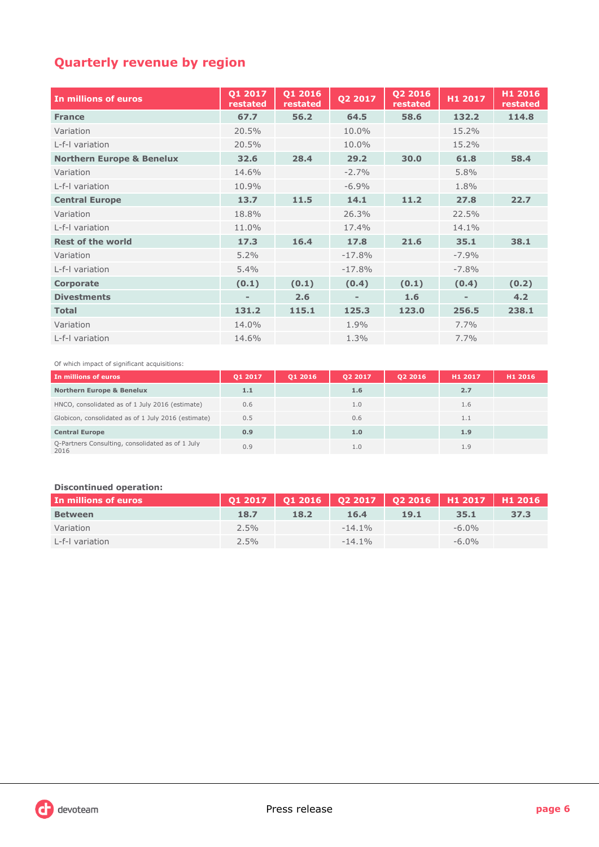# **Quarterly revenue by region**

| In millions of euros                 | 01 2017<br>restated | 01 2016<br>restated | Q2 2017  | 02 2016<br>restated | H1 2017 | H1 2016<br>restated |
|--------------------------------------|---------------------|---------------------|----------|---------------------|---------|---------------------|
| <b>France</b>                        | 67.7                | 56.2                | 64.5     | 58.6                | 132.2   | 114.8               |
| Variation                            | 20.5%               |                     | 10.0%    |                     | 15.2%   |                     |
| L-f-I variation                      | 20.5%               |                     | 10.0%    |                     | 15.2%   |                     |
| <b>Northern Europe &amp; Benelux</b> | 32.6                | 28.4                | 29.2     | 30.0                | 61.8    | 58.4                |
| Variation                            | 14.6%               |                     | $-2.7%$  |                     | 5.8%    |                     |
| L-f-I variation                      | 10.9%               |                     | $-6.9%$  |                     | 1.8%    |                     |
| <b>Central Europe</b>                | 13.7                | 11.5                | 14.1     | 11.2                | 27.8    | 22.7                |
| Variation                            | 18.8%               |                     | 26.3%    |                     | 22.5%   |                     |
| L-f-I variation                      | 11.0%               |                     | 17.4%    |                     | 14.1%   |                     |
| <b>Rest of the world</b>             | 17.3                | 16.4                | 17.8     | 21.6                | 35.1    | 38.1                |
| Variation                            | 5.2%                |                     | $-17.8%$ |                     | $-7.9%$ |                     |
| I-f-I variation                      | 5.4%                |                     | $-17.8%$ |                     | $-7.8%$ |                     |
| Corporate                            | (0.1)               | (0.1)               | (0.4)    | (0.1)               | (0.4)   | (0.2)               |
| <b>Divestments</b>                   |                     | 2.6                 |          | 1.6                 |         | 4.2                 |
| <b>Total</b>                         | 131.2               | 115.1               | 125.3    | 123.0               | 256.5   | 238.1               |
| Variation                            | 14.0%               |                     | 1.9%     |                     | 7.7%    |                     |
| L-f-I variation                      | 14.6%               |                     | 1.3%     |                     | 7.7%    |                     |

Of which impact of significant acquisitions:

| In millions of euros                                     | 01 2017 | 01 2016 | 02 2017 | 02 2016 | H1 2017 | H <sub>1</sub> 2016 |
|----------------------------------------------------------|---------|---------|---------|---------|---------|---------------------|
| <b>Northern Europe &amp; Benelux</b>                     | 1.1     |         | 1.6     |         | 2.7     |                     |
| HNCO, consolidated as of 1 July 2016 (estimate)          | 0.6     |         | 1.0     |         | 1.6     |                     |
| Globicon, consolidated as of 1 July 2016 (estimate)      | 0.5     |         | 0.6     |         | 1.1     |                     |
| <b>Central Europe</b>                                    | 0.9     |         | 1.0     |         | 1.9     |                     |
| Q-Partners Consulting, consolidated as of 1 July<br>2016 | 0.9     |         | 1.0     |         | 1.9     |                     |

#### **Discontinued operation:**

| In millions of euros |         |      |           | Q1 2017   Q1 2016   Q2 2017   Q2 2016   H1 2017   H1 2016 |          |      |
|----------------------|---------|------|-----------|-----------------------------------------------------------|----------|------|
| <b>Between</b>       | 18.7    | 18.2 | 16.4      | 19.1                                                      | 35.1     | 37.3 |
| Variation            | $2.5\%$ |      | $-14.1\%$ |                                                           | $-6.0\%$ |      |
| L-f-I variation      | $2.5\%$ |      | $-14.1\%$ |                                                           | $-6.0\%$ |      |

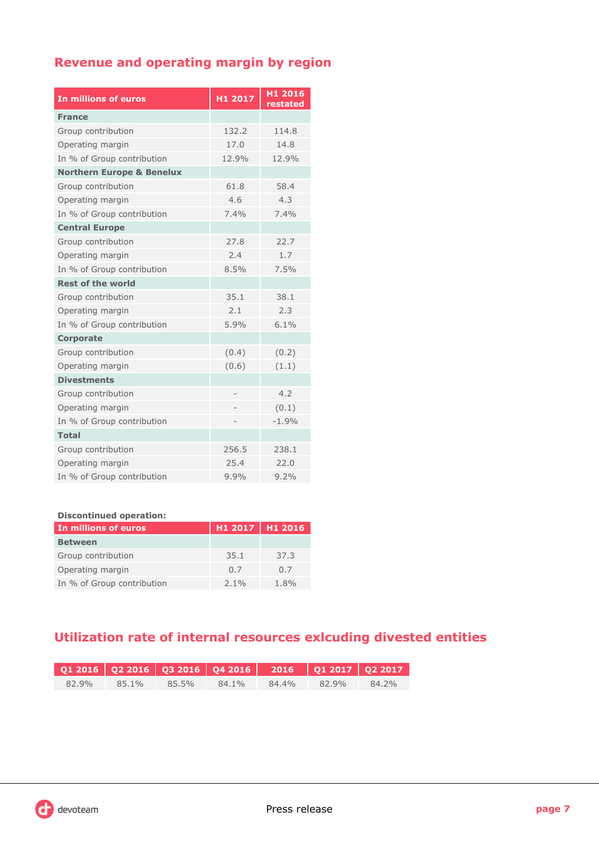## **Revenue and operating margin by region**

| In millions of euros                 | H1 2017 | H1 2016<br>restated |
|--------------------------------------|---------|---------------------|
| <b>France</b>                        |         |                     |
| Group contribution                   | 132.2   | 114.8               |
| Operating margin                     | 17.0    | 14.8                |
| In % of Group contribution           | 12.9%   | 12.9%               |
| <b>Northern Europe &amp; Benelux</b> |         |                     |
| Group contribution                   | 61.8    | 58.4                |
| Operating margin                     | 4.6     | 4.3                 |
| In % of Group contribution           | 7.4%    | 7.4%                |
| <b>Central Europe</b>                |         |                     |
| Group contribution                   | 27.8    | 22.7                |
| Operating margin                     | 2.4     | 1.7                 |
| In % of Group contribution           | 8.5%    | 7.5%                |
| <b>Rest of the world</b>             |         |                     |
| Group contribution                   | 35.1    | 38.1                |
| Operating margin                     | 2.1     | 2.3                 |
| In % of Group contribution           | 5.9%    | 6.1%                |
| <b>Corporate</b>                     |         |                     |
| Group contribution                   | (0.4)   | (0.2)               |
| Operating margin                     | (0.6)   | (1.1)               |
| <b>Divestments</b>                   |         |                     |
| Group contribution                   |         | 4.2                 |
| Operating margin                     |         | (0.1)               |
| In % of Group contribution           |         | $-1.9%$             |
| <b>Total</b>                         |         |                     |
| Group contribution                   | 256.5   | 238.1               |
| Operating margin                     | 25.4    | 22.0                |
| In % of Group contribution           | 9.9%    | 9.2%                |

#### **Discontinued operation:**

| In millions of euros       | H1 2017 H1 2016 |      |
|----------------------------|-----------------|------|
| <b>Between</b>             |                 |      |
| Group contribution         | 35.1            | 37.3 |
| Operating margin           | 0.7             | 0.7  |
| In % of Group contribution | $2.1\%$         | 1.8% |

# **Utilization rate of internal resources exlcuding divested entities**

| $Q12016$ $Q22016$ $Q32016$ $Q42016$ $2016$ $Q12017$ $Q22017$ |                         |  |                   |  |
|--------------------------------------------------------------|-------------------------|--|-------------------|--|
| 82.9%                                                        | 85.1% 85.5% 84.1% 84.4% |  | $82.9\%$ $84.2\%$ |  |

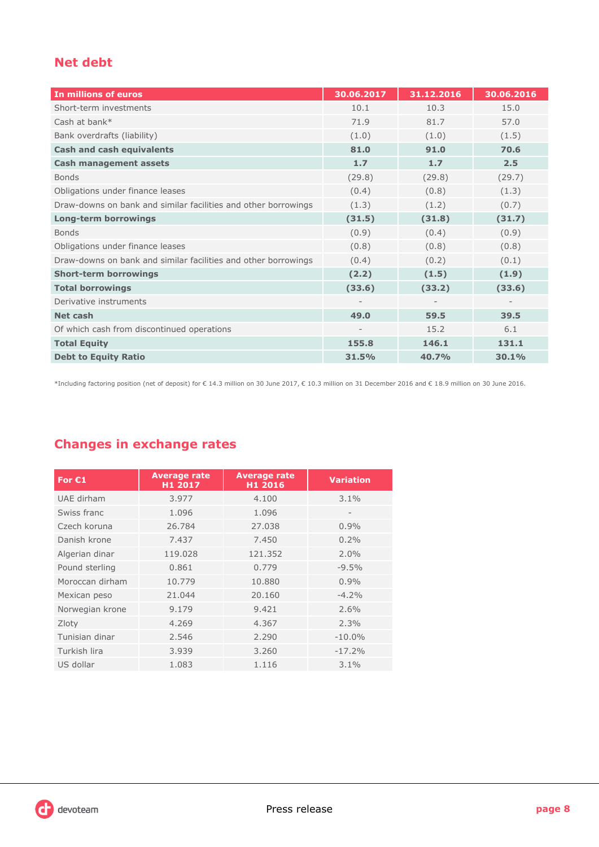## **Net debt**

| In millions of euros                                           | 30.06.2017 | 31.12.2016 | 30.06.2016 |
|----------------------------------------------------------------|------------|------------|------------|
| Short-term investments                                         | 10.1       | 10.3       | 15.0       |
| Cash at bank*                                                  | 71.9       | 81.7       | 57.0       |
| Bank overdrafts (liability)                                    | (1.0)      | (1.0)      | (1.5)      |
| <b>Cash and cash equivalents</b>                               | 81.0       | 91.0       | 70.6       |
| <b>Cash management assets</b>                                  | 1.7        | 1.7        | 2.5        |
| <b>Bonds</b>                                                   | (29.8)     | (29.8)     | (29.7)     |
| Obligations under finance leases                               | (0.4)      | (0.8)      | (1.3)      |
| Draw-downs on bank and similar facilities and other borrowings | (1.3)      | (1.2)      | (0.7)      |
| <b>Long-term borrowings</b>                                    | (31.5)     | (31.8)     | (31.7)     |
| <b>Bonds</b>                                                   | (0.9)      | (0.4)      | (0.9)      |
| Obligations under finance leases                               | (0.8)      | (0.8)      | (0.8)      |
| Draw-downs on bank and similar facilities and other borrowings | (0.4)      | (0.2)      | (0.1)      |
| <b>Short-term borrowings</b>                                   | (2.2)      | (1.5)      | (1.9)      |
| <b>Total borrowings</b>                                        | (33.6)     | (33.2)     | (33.6)     |
| Derivative instruments                                         |            |            |            |
| Net cash                                                       | 49.0       | 59.5       | 39.5       |
| Of which cash from discontinued operations                     |            | 15.2       | 6.1        |
| <b>Total Equity</b>                                            | 155.8      | 146.1      | 131.1      |
| <b>Debt to Equity Ratio</b>                                    | 31.5%      | 40.7%      | 30.1%      |

\*Including factoring position (net of deposit) for € 14.3 million on 30 June 2017, € 10.3 million on 31 December 2016 and € 18.9 million on 30 June 2016.

## **Changes in exchange rates**

| For $C1$        | <b>Average rate</b><br>H1 2017 | <b>Average rate</b><br>H1 2016 | <b>Variation</b> |
|-----------------|--------------------------------|--------------------------------|------------------|
| UAE dirham      | 3.977                          | 4.100                          | 3.1%             |
| Swiss franc     | 1.096                          | 1.096                          |                  |
| Czech koruna    | 26.784                         | 27.038                         | 0.9%             |
| Danish krone    | 7.437                          | 7.450                          | 0.2%             |
| Algerian dinar  | 119.028                        | 121.352                        | $2.0\%$          |
| Pound sterling  | 0.861                          | 0.779                          | $-9.5%$          |
| Moroccan dirham | 10.779                         | 10.880                         | 0.9%             |
| Mexican peso    | 21.044                         | 20.160                         | $-4.2%$          |
| Norwegian krone | 9.179                          | 9.421                          | 2.6%             |
| Zloty           | 4.269                          | 4.367                          | 2.3%             |
| Tunisian dinar  | 2.546                          | 2.290                          | $-10.0\%$        |
| Turkish lira    | 3.939                          | 3.260                          | $-17.2%$         |
| US dollar       | 1.083                          | 1.116                          | 3.1%             |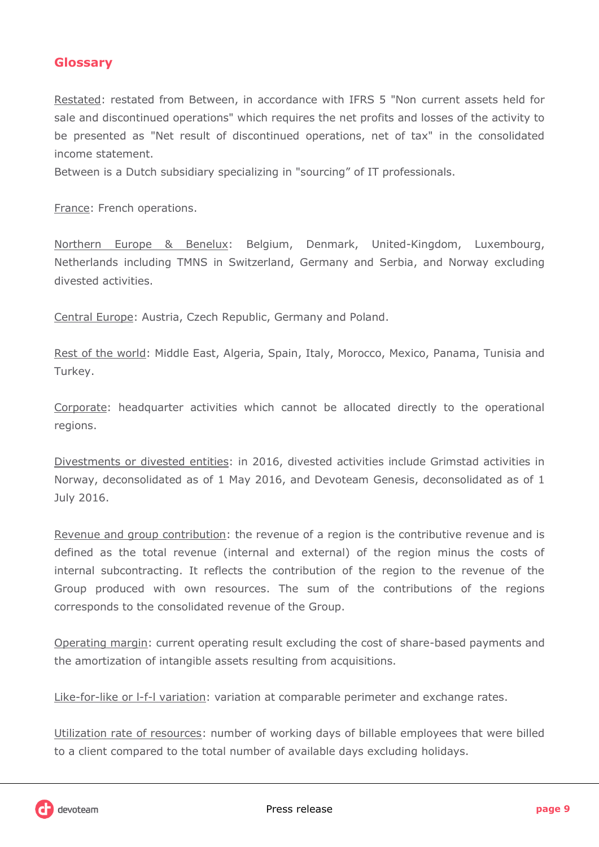## **Glossary**

Restated: restated from Between, in accordance with IFRS 5 "Non current assets held for sale and discontinued operations" which requires the net profits and losses of the activity to be presented as "Net result of discontinued operations, net of tax" in the consolidated income statement.

Between is a Dutch subsidiary specializing in "sourcing" of IT professionals.

France: French operations.

Northern Europe & Benelux: Belgium, Denmark, United-Kingdom, Luxembourg, Netherlands including TMNS in Switzerland, Germany and Serbia, and Norway excluding divested activities.

Central Europe: Austria, Czech Republic, Germany and Poland.

Rest of the world: Middle East, Algeria, Spain, Italy, Morocco, Mexico, Panama, Tunisia and Turkey.

Corporate: headquarter activities which cannot be allocated directly to the operational regions.

Divestments or divested entities: in 2016, divested activities include Grimstad activities in Norway, deconsolidated as of 1 May 2016, and Devoteam Genesis, deconsolidated as of 1 July 2016.

Revenue and group contribution: the revenue of a region is the contributive revenue and is defined as the total revenue (internal and external) of the region minus the costs of internal subcontracting. It reflects the contribution of the region to the revenue of the Group produced with own resources. The sum of the contributions of the regions corresponds to the consolidated revenue of the Group.

Operating margin: current operating result excluding the cost of share-based payments and the amortization of intangible assets resulting from acquisitions.

Like-for-like or I-f-I variation: variation at comparable perimeter and exchange rates.

Utilization rate of resources: number of working days of billable employees that were billed to a client compared to the total number of available days excluding holidays.

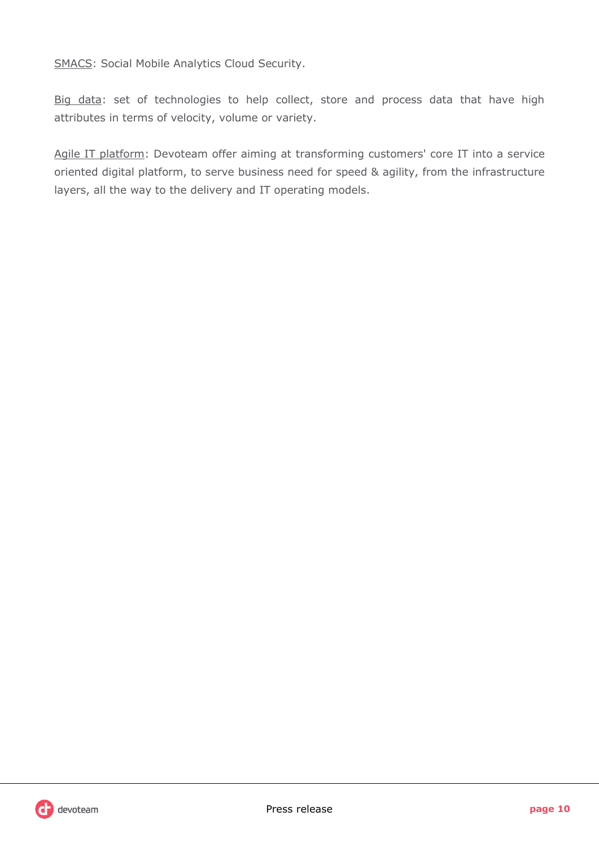SMACS: Social Mobile Analytics Cloud Security.

Big data: set of technologies to help collect, store and process data that have high attributes in terms of velocity, volume or variety.

Agile IT platform: Devoteam offer aiming at transforming customers' core IT into a service oriented digital platform, to serve business need for speed & agility, from the infrastructure layers, all the way to the delivery and IT operating models.